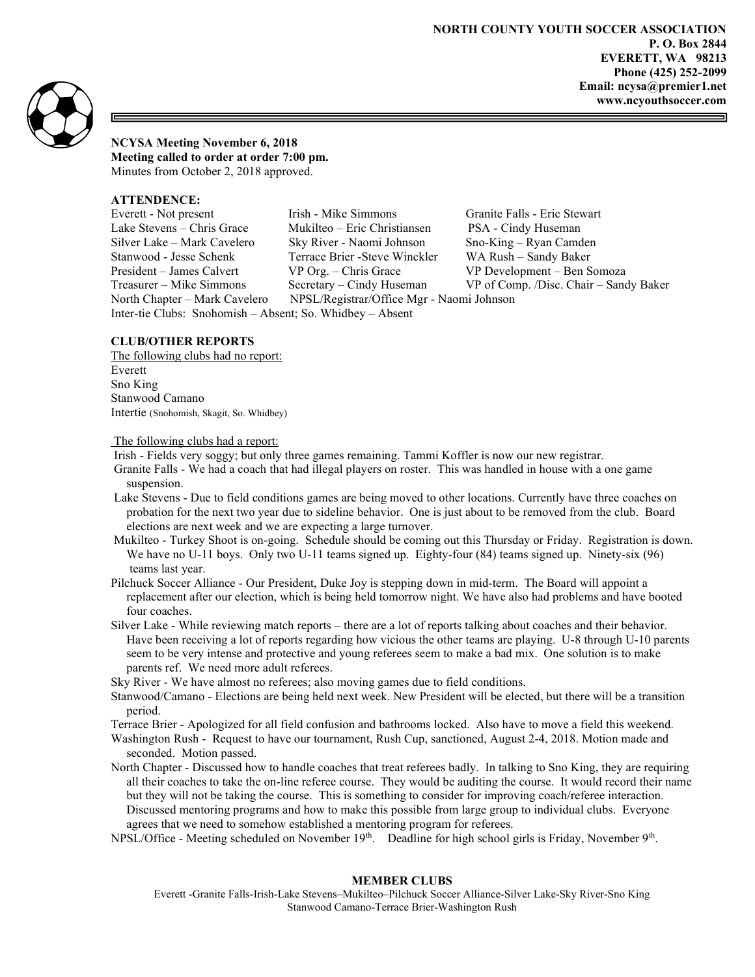

NCYSA Meeting November 6, 2018

Meeting called to order at order 7:00 pm. Minutes from October 2, 2018 approved.

# ATTENDENCE:

Everett - Not present Irish - Mike Simmons Granite Falls - Eric Stewart Lake Stevens – Chris Grace Mukilteo – Eric Christiansen PSA - Cindy Huseman Silver Lake – Mark Cavelero Sky River - Naomi Johnson Sno-King – Ryan Camden Stanwood - Jesse Schenk Terrace Brier -Steve Winckler WA Rush – Sandy Baker President – James Calvert VP Org. – Chris Grace VP Development – Ben Somoza Treasurer – Mike Simmons Secretary – Cindy Huseman VP of Comp. /Disc. Chair – Sandy Baker North Chapter – Mark Cavelero NPSL/Registrar/Office Mgr - Naomi Johnson Inter-tie Clubs: Snohomish – Absent; So. Whidbey – Absent

# CLUB/OTHER REPORTS

The following clubs had no report: Everett Sno King Stanwood Camano Intertie (Snohomish, Skagit, So. Whidbey)

## The following clubs had a report:

Irish - Fields very soggy; but only three games remaining. Tammi Koffler is now our new registrar.

- Granite Falls We had a coach that had illegal players on roster. This was handled in house with a one game suspension.
- Lake Stevens Due to field conditions games are being moved to other locations. Currently have three coaches on probation for the next two year due to sideline behavior. One is just about to be removed from the club. Board elections are next week and we are expecting a large turnover.
- Mukilteo Turkey Shoot is on-going. Schedule should be coming out this Thursday or Friday. Registration is down. We have no U-11 boys. Only two U-11 teams signed up. Eighty-four (84) teams signed up. Ninety-six (96) teams last year.
- Pilchuck Soccer Alliance Our President, Duke Joy is stepping down in mid-term. The Board will appoint a replacement after our election, which is being held tomorrow night. We have also had problems and have booted four coaches.
- Silver Lake While reviewing match reports there are a lot of reports talking about coaches and their behavior. Have been receiving a lot of reports regarding how vicious the other teams are playing. U-8 through U-10 parents seem to be very intense and protective and young referees seem to make a bad mix. One solution is to make parents ref. We need more adult referees.

Sky River - We have almost no referees; also moving games due to field conditions.

Stanwood/Camano - Elections are being held next week. New President will be elected, but there will be a transition period.

Terrace Brier - Apologized for all field confusion and bathrooms locked. Also have to move a field this weekend.

Washington Rush - Request to have our tournament, Rush Cup, sanctioned, August 2-4, 2018. Motion made and seconded. Motion passed.

- North Chapter Discussed how to handle coaches that treat referees badly. In talking to Sno King, they are requiring all their coaches to take the on-line referee course. They would be auditing the course. It would record their name but they will not be taking the course. This is something to consider for improving coach/referee interaction. Discussed mentoring programs and how to make this possible from large group to individual clubs. Everyone agrees that we need to somehow established a mentoring program for referees.
- NPSL/Office Meeting scheduled on November 19<sup>th</sup>. Deadline for high school girls is Friday, November 9<sup>th</sup>.

# MEMBER CLUBS

Everett -Granite Falls-Irish-Lake Stevens–Mukilteo–Pilchuck Soccer Alliance-Silver Lake-Sky River-Sno King Stanwood Camano-Terrace Brier-Washington Rush